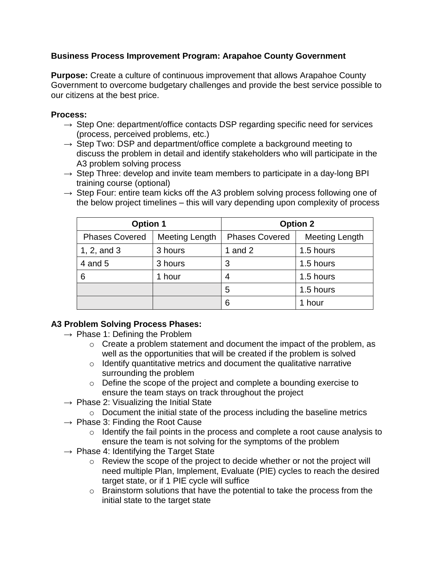# **Business Process Improvement Program: Arapahoe County Government**

**Purpose:** Create a culture of continuous improvement that allows Arapahoe County Government to overcome budgetary challenges and provide the best service possible to our citizens at the best price.

#### **Process:**

- $\rightarrow$  Step One: department/office contacts DSP regarding specific need for services (process, perceived problems, etc.)
- $\rightarrow$  Step Two: DSP and department/office complete a background meeting to discuss the problem in detail and identify stakeholders who will participate in the A3 problem solving process
- $\rightarrow$  Step Three: develop and invite team members to participate in a day-long BPI training course (optional)
- $\rightarrow$  Step Four: entire team kicks off the A3 problem solving process following one of the below project timelines – this will vary depending upon complexity of process

| <b>Option 1</b>       |                | <b>Option 2</b>       |                       |
|-----------------------|----------------|-----------------------|-----------------------|
| <b>Phases Covered</b> | Meeting Length | <b>Phases Covered</b> | <b>Meeting Length</b> |
| 1, 2, and $3$         | 3 hours        | 1 and $2$             | 1.5 hours             |
| 4 and 5               | 3 hours        | 3                     | 1.5 hours             |
| 6                     | 1 hour         |                       | 1.5 hours             |
|                       |                | 5                     | 1.5 hours             |
|                       |                | 6                     | 1 hour                |

# **A3 Problem Solving Process Phases:**

- $\rightarrow$  Phase 1: Defining the Problem
	- $\circ$  Create a problem statement and document the impact of the problem, as well as the opportunities that will be created if the problem is solved
	- $\circ$  Identify quantitative metrics and document the qualitative narrative surrounding the problem
	- o Define the scope of the project and complete a bounding exercise to ensure the team stays on track throughout the project
- $\rightarrow$  Phase 2: Visualizing the Initial State
	- o Document the initial state of the process including the baseline metrics
- $\rightarrow$  Phase 3: Finding the Root Cause
	- o Identify the fail points in the process and complete a root cause analysis to ensure the team is not solving for the symptoms of the problem
- $\rightarrow$  Phase 4: Identifying the Target State
	- o Review the scope of the project to decide whether or not the project will need multiple Plan, Implement, Evaluate (PIE) cycles to reach the desired target state, or if 1 PIE cycle will suffice
	- o Brainstorm solutions that have the potential to take the process from the initial state to the target state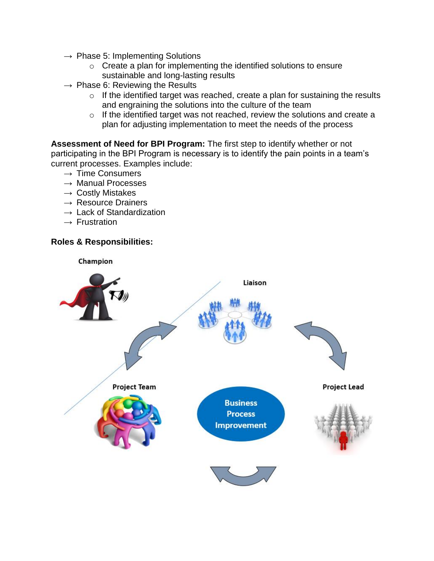- $\rightarrow$  Phase 5: Implementing Solutions
	- $\circ$  Create a plan for implementing the identified solutions to ensure sustainable and long-lasting results
- $\rightarrow$  Phase 6: Reviewing the Results
	- $\circ$  If the identified target was reached, create a plan for sustaining the results and engraining the solutions into the culture of the team
	- o If the identified target was not reached, review the solutions and create a plan for adjusting implementation to meet the needs of the process

**Assessment of Need for BPI Program:** The first step to identify whether or not participating in the BPI Program is necessary is to identify the pain points in a team's current processes. Examples include:

- $\rightarrow$  Time Consumers
- $\rightarrow$  Manual Processes
- $\rightarrow$  Costly Mistakes
- $\rightarrow$  Resource Drainers
- $\rightarrow$  Lack of Standardization
- $\rightarrow$  Frustration

#### **Roles & Responsibilities:**

Champion

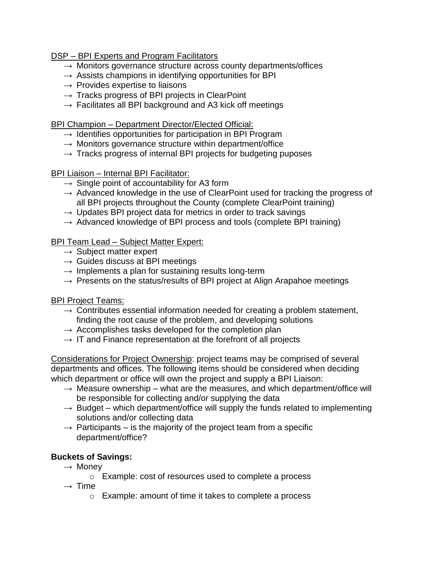DSP – BPI Experts and Program Facilitators

- $\rightarrow$  Monitors governance structure across county departments/offices
- $\rightarrow$  Assists champions in identifying opportunities for BPI
- $\rightarrow$  Provides expertise to liaisons
- $\rightarrow$  Tracks progress of BPI projects in ClearPoint
- $\rightarrow$  Facilitates all BPI background and A3 kick off meetings

BPI Champion – Department Director/Elected Official:

- $\rightarrow$  Identifies opportunities for participation in BPI Program
- $\rightarrow$  Monitors governance structure within department/office
- $\rightarrow$  Tracks progress of internal BPI projects for budgeting puposes

BPI Liaison – Internal BPI Facilitator:

- $\rightarrow$  Single point of accountability for A3 form
- $\rightarrow$  Advanced knowledge in the use of ClearPoint used for tracking the progress of all BPI projects throughout the County (complete ClearPoint training)
- $\rightarrow$  Updates BPI project data for metrics in order to track savings
- $\rightarrow$  Advanced knowledge of BPI process and tools (complete BPI training)

#### BPI Team Lead – Subject Matter Expert:

- $\rightarrow$  Subject matter expert
- $\rightarrow$  Guides discuss at BPI meetings
- $\rightarrow$  Implements a plan for sustaining results long-term
- $\rightarrow$  Presents on the status/results of BPI project at Align Arapahoe meetings

BPI Project Teams:

- $\rightarrow$  Contributes essential information needed for creating a problem statement, finding the root cause of the problem, and developing solutions
- $\rightarrow$  Accomplishes tasks developed for the completion plan
- $\rightarrow$  IT and Finance representation at the forefront of all projects

Considerations for Project Ownership: project teams may be comprised of several departments and offices. The following items should be considered when deciding which department or office will own the project and supply a BPI Liaison:

- $\rightarrow$  Measure ownership what are the measures, and which department/office will be responsible for collecting and/or supplying the data
- $\rightarrow$  Budget which department/office will supply the funds related to implementing solutions and/or collecting data
- $\rightarrow$  Participants is the majority of the project team from a specific department/office?

# **Buckets of Savings:**

- $\rightarrow$  Money
	- o Example: cost of resources used to complete a process
- $\rightarrow$  Time
	- o Example: amount of time it takes to complete a process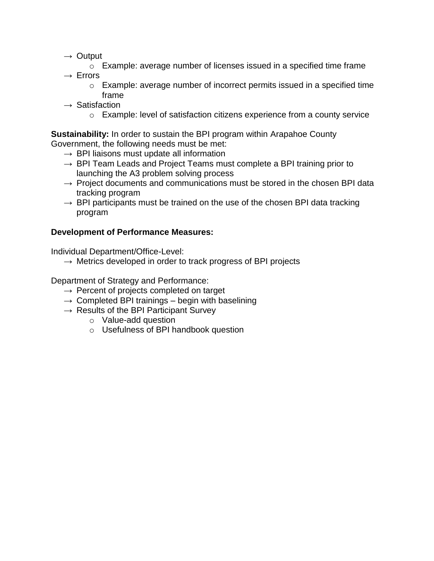- $\rightarrow$  Output
	- o Example: average number of licenses issued in a specified time frame
- $\rightarrow$  Errors
	- o Example: average number of incorrect permits issued in a specified time frame
- $\rightarrow$  Satisfaction
	- o Example: level of satisfaction citizens experience from a county service

**Sustainability:** In order to sustain the BPI program within Arapahoe County Government, the following needs must be met:

- $\rightarrow$  BPI liaisons must update all information
- $\rightarrow$  BPI Team Leads and Project Teams must complete a BPI training prior to launching the A3 problem solving process
- $\rightarrow$  Project documents and communications must be stored in the chosen BPI data tracking program
- $\rightarrow$  BPI participants must be trained on the use of the chosen BPI data tracking program

#### **Development of Performance Measures:**

Individual Department/Office-Level:

 $\rightarrow$  Metrics developed in order to track progress of BPI projects

Department of Strategy and Performance:

- $\rightarrow$  Percent of projects completed on target
- $\rightarrow$  Completed BPI trainings begin with baselining
- $\rightarrow$  Results of the BPI Participant Survey
	- o Value-add question
	- o Usefulness of BPI handbook question